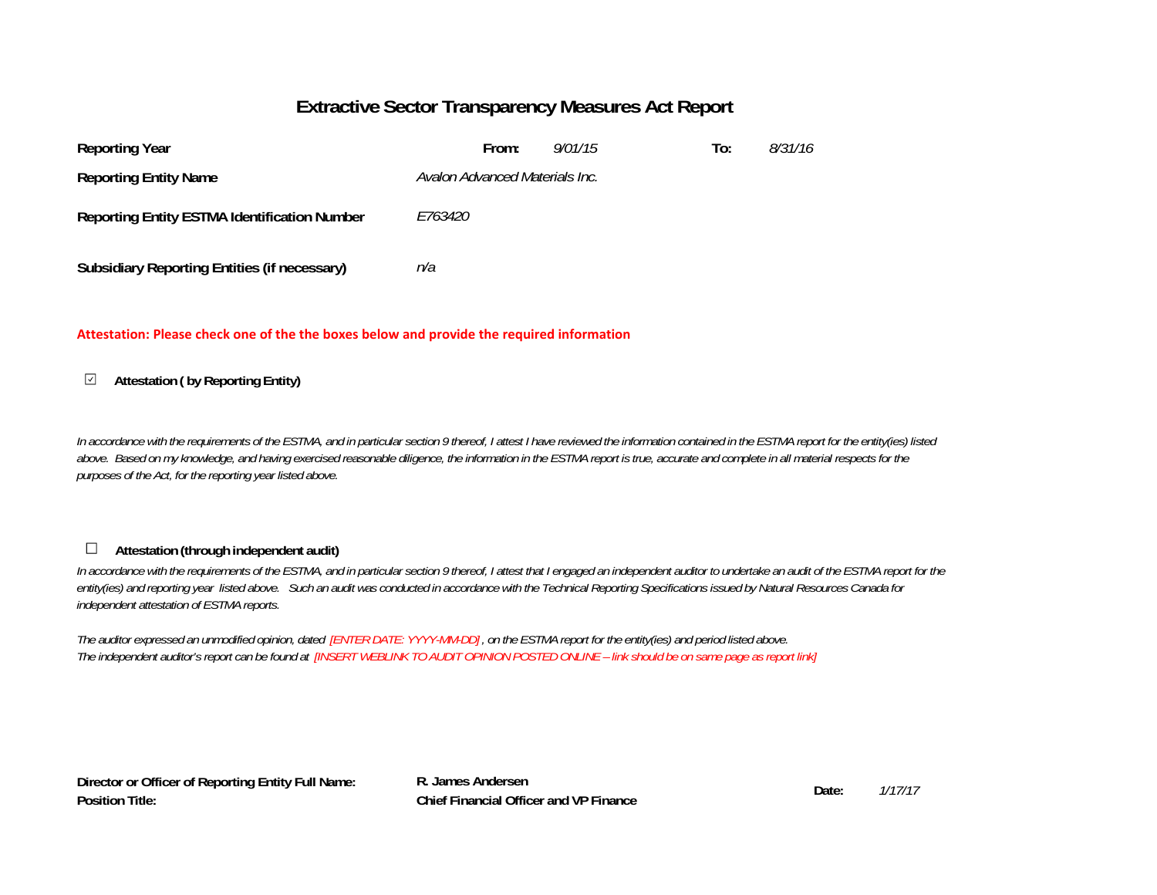### **Extractive Sector Transparency Measures Act Report**

| <b>Reporting Year</b>                               | From:                          | 9/01/15 | To: | 8/31/16 |
|-----------------------------------------------------|--------------------------------|---------|-----|---------|
| <b>Reporting Entity Name</b>                        | Avalon Advanced Materials Inc. |         |     |         |
| <b>Reporting Entity ESTMA Identification Number</b> | <i>E763420</i>                 |         |     |         |
| <b>Subsidiary Reporting Entities (if necessary)</b> | n/a                            |         |     |         |

### **Attestation: Please check one of the the boxes below and provide the required information**

#### **Attestation ( by Reporting Entity)**  $\checkmark$

*In accordance with the requirements of the ESTMA, and in particular section 9 thereof, I attest I have reviewed the information contained in the ESTMA report for the entity(ies) listed*  above. Based on my knowledge, and having exercised reasonable diligence, the information in the ESTMA report is true, accurate and complete in all material respects for the *purposes of the Act, for the reporting year listed above.* 

#### $\Box$ **Attestation (through independent audit)**

In accordance with the requirements of the ESTMA, and in particular section 9 thereof, I attest that I engaged an independent auditor to undertake an audit of the ESTMA report for the *entity(ies) and reporting year listed above. Such an audit was conducted in accordance with the Technical Reporting Specifications issued by Natural Resources Canada for independent attestation of ESTMA reports.* 

*The auditor expressed an unmodified opinion, dated [ENTER DATE: YYYY-MM-DD] , on the ESTMA report for the entity(ies) and period listed above. The independent auditor's report can be found at [INSERT WEBLINK TO AUDIT OPINION POSTED ONLINE – link should be on same page as report link]* 

**Director or Officer of Reporting Entity Full Name: Position Title:**

**R. James AndersenDate: Chief Financial Officer and VP Finance**

*1/17/17*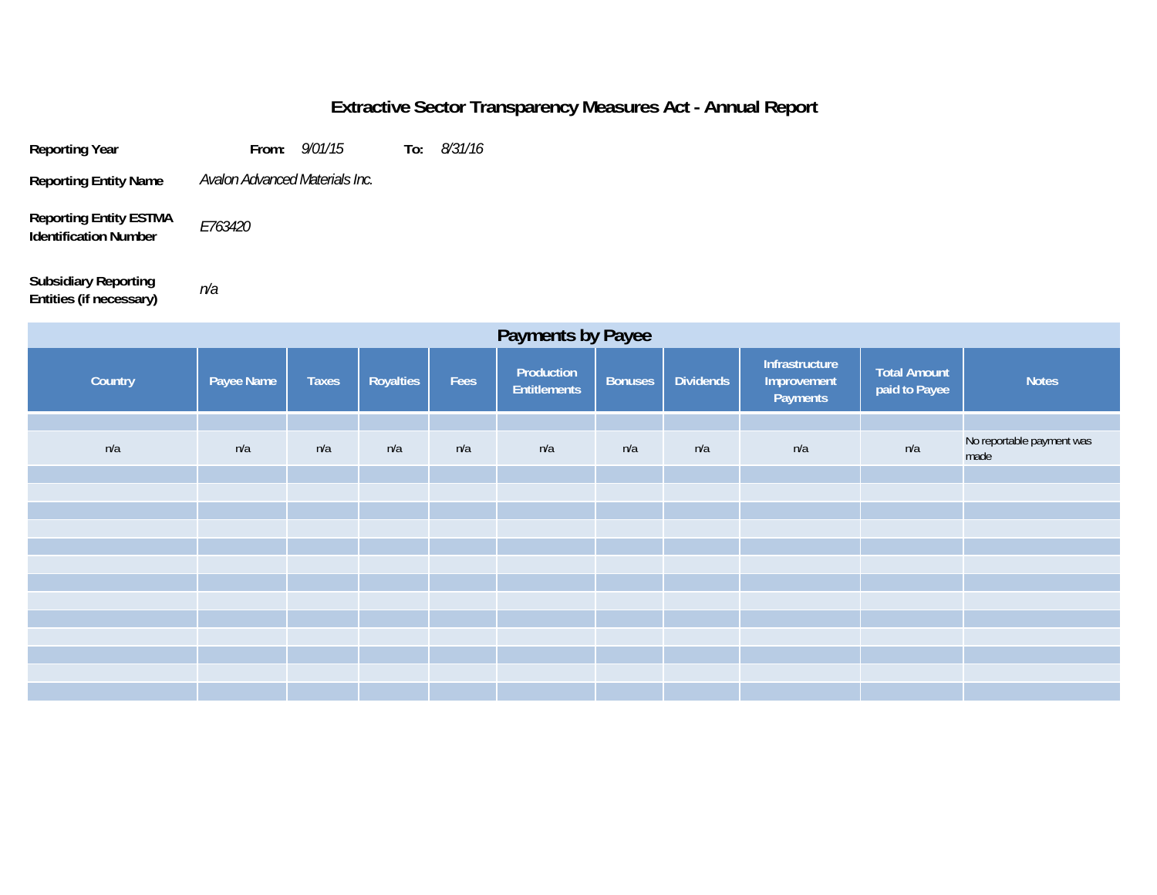## **Extractive Sector Transparency Measures Act - Annual Report**

**Reporting Year From:** *9/01/15* **To:** *8/31/16* **Reporting Entity Name Reporting Entity ESTMA**  *E763420 Avalon Advanced Materials Inc.*

*n/a*

**Subsidiary Reporting Entities (if necessary)**

**Identification Number**

| <b>Payments by Payee</b> |            |              |                  |      |                                   |                |                  |                                           |                               |                                   |
|--------------------------|------------|--------------|------------------|------|-----------------------------------|----------------|------------------|-------------------------------------------|-------------------------------|-----------------------------------|
| Country                  | Payee Name | <b>Taxes</b> | <b>Royalties</b> | Fees | Production<br><b>Entitlements</b> | <b>Bonuses</b> | <b>Dividends</b> | Infrastructure<br>Improvement<br>Payments | Total Amount<br>paid to Payee | <b>Notes</b>                      |
|                          |            |              |                  |      |                                   |                |                  |                                           |                               |                                   |
| n/a                      | n/a        | n/a          | n/a              | n/a  | n/a                               | n/a            | n/a              | n/a                                       | n/a                           | No reportable payment was<br>made |
|                          |            |              |                  |      |                                   |                |                  |                                           |                               |                                   |
|                          |            |              |                  |      |                                   |                |                  |                                           |                               |                                   |
|                          |            |              |                  |      |                                   |                |                  |                                           |                               |                                   |
|                          |            |              |                  |      |                                   |                |                  |                                           |                               |                                   |
|                          |            |              |                  |      |                                   |                |                  |                                           |                               |                                   |
|                          |            |              |                  |      |                                   |                |                  |                                           |                               |                                   |
|                          |            |              |                  |      |                                   |                |                  |                                           |                               |                                   |
|                          |            |              |                  |      |                                   |                |                  |                                           |                               |                                   |
|                          |            |              |                  |      |                                   |                |                  |                                           |                               |                                   |
|                          |            |              |                  |      |                                   |                |                  |                                           |                               |                                   |
|                          |            |              |                  |      |                                   |                |                  |                                           |                               |                                   |
|                          |            |              |                  |      |                                   |                |                  |                                           |                               |                                   |
|                          |            |              |                  |      |                                   |                |                  |                                           |                               |                                   |